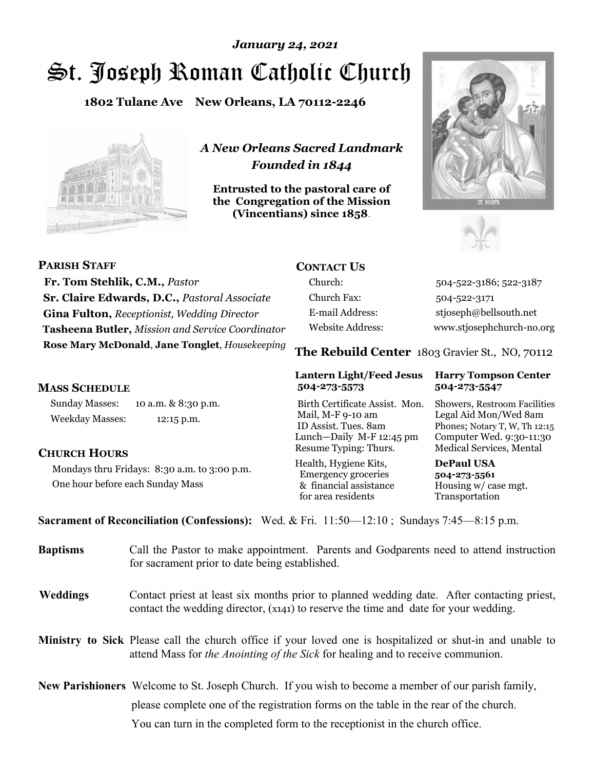# St. Joseph Roman Catholic Church *January 24, 2021*

**1802 Tulane Ave New Orleans, LA 70112-2246**



*A New Orleans Sacred Landmark Founded in 1844* 

**Entrusted to the pastoral care of the Congregation of the Mission (Vincentians) since 1858**.





| <b>PARISH STAFF</b>                                | <b>CONTACT US</b> |                                                |
|----------------------------------------------------|-------------------|------------------------------------------------|
| Fr. Tom Stehlik, C.M., Pastor                      | Church:           | 504-522-3186; 522-3187                         |
| Sr. Claire Edwards, D.C., Pastoral Associate       | Church Fax:       | 504-522-3171                                   |
| <b>Gina Fulton, Receptionist, Wedding Director</b> | E-mail Address:   | stjoseph@bellsouth.net                         |
| Tasheena Butler, Mission and Service Coordinator   | Website Address:  | www.stjosephchurch-no.org                      |
| Rose Mary McDonald, Jane Tonglet, Housekeeping     |                   | The Rebuild Center 1803 Gravier St., NO, 70112 |

## **MASS SCHEDULE**

Sunday Masses: 10 a.m. & 8:30 p.m. Weekday Masses: 12:15 p.m.

## **CHURCH HOURS**

Mondays thru Fridays: 8:30 a.m. to 3:00 p.m. One hour before each Sunday Mass

## **Lantern Light/Feed Jesus Harry Tompson Center 504-273-5573 504-273-5547**

Birth Certificate Assist. Mon. Showers, Restroom Facilities Mail, M-F 9-10 am Legal Aid Mon/Wed 8am ID Assist. Tues. 8am Phones; Notary T, W, Th 12:15 Lunch—Daily M-F 12:45 pm Computer Wed. 9:30-11:30 Resume Typing: Thurs. Medical Services, Mental

Health, Hygiene Kits, **DePaul USA**  Emergency groceries **504-273-5561** & financial assistance Housing w/ case mgt.<br>for area residents Transportation for area residents

**Sacrament of Reconciliation (Confessions):** Wed. & Fri. 11:50—12:10 ; Sundays 7:45—8:15 p.m.

| <b>Baptisms</b> | Call the Pastor to make appointment. Parents and Godparents need to attend instruction<br>for sacrament prior to date being established.                                                            |
|-----------------|-----------------------------------------------------------------------------------------------------------------------------------------------------------------------------------------------------|
| <b>Weddings</b> | Contact priest at least six months prior to planned wedding date. After contacting priest,<br>contact the wedding director, (x141) to reserve the time and date for your wedding.                   |
|                 | Ministry to Sick Please call the church office if your loved one is hospitalized or shut-in and unable to<br>attend Mass for <i>the Anointing of the Sick</i> for healing and to receive communion. |
|                 | <b>New Parishioners</b> Welcome to St. Joseph Church. If you wish to become a member of our parish family,                                                                                          |

please complete one of the registration forms on the table in the rear of the church.

You can turn in the completed form to the receptionist in the church office.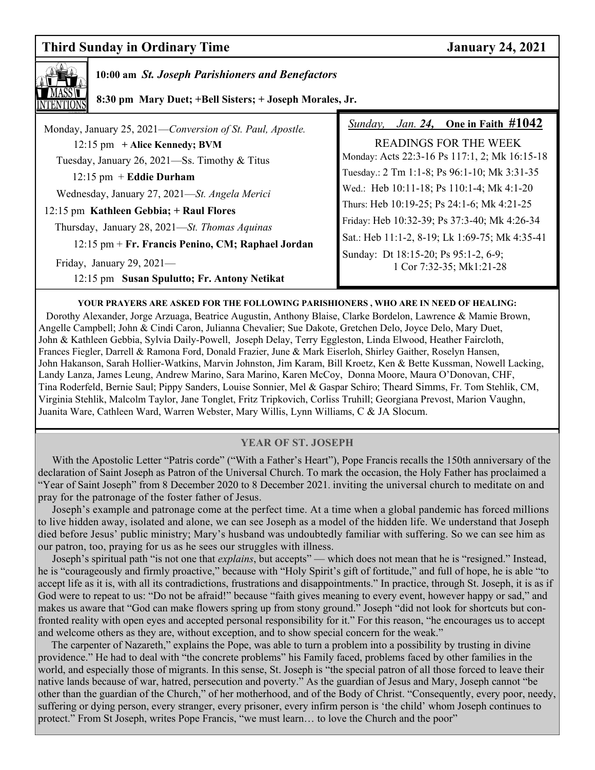## **Third Sunday in Ordinary Time January 24, 2021**



## **10:00 am** *St. Joseph Parishioners and Benefactors*

 **8:30 pm Mary Duet; +Bell Sisters; + Joseph Morales, Jr.** 

| Monday, January 25, 2021-Conversion of St. Paul, Apostle. | <i>Jan.</i> 24, One in Faith $\#1042$<br>Sunday,                 |
|-----------------------------------------------------------|------------------------------------------------------------------|
| $12:15$ pm $+$ Alice Kennedy; BVM                         | <b>READINGS FOR THE WEEK</b>                                     |
| Tuesday, January 26, 2021—Ss. Timothy & Titus             | Monday: Acts 22:3-16 Ps 117:1, 2; Mk 16:15-18                    |
| $12:15$ pm + Eddie Durham                                 | Tuesday.: 2 Tm 1:1-8; Ps 96:1-10; Mk 3:31-35                     |
| Wednesday, January 27, 2021—St. Angela Merici             | Wed.: Heb 10:11-18; Ps 110:1-4; Mk 4:1-20                        |
| 12:15 pm Kathleen Gebbia; + Raul Flores                   | Thurs: Heb 10:19-25; Ps 24:1-6; Mk 4:21-25                       |
| Thursday, January 28, 2021—St. Thomas Aquinas             | Friday: Heb 10:32-39; Ps 37:3-40; Mk 4:26-34                     |
| 12:15 pm + Fr. Francis Penino, CM; Raphael Jordan         | Sat.: Heb 11:1-2, 8-19; Lk 1:69-75; Mk 4:35-41                   |
| Friday, January 29, $2021$ —                              | Sunday: Dt 18:15-20; Ps 95:1-2, 6-9;<br>1 Cor 7:32-35; Mk1:21-28 |
| 12:15 pm Susan Spulutto; Fr. Antony Netikat               |                                                                  |
|                                                           |                                                                  |

**YOUR PRAYERS ARE ASKED FOR THE FOLLOWING PARISHIONERS , WHO ARE IN NEED OF HEALING:**  Dorothy Alexander, Jorge Arzuaga, Beatrice Augustin, Anthony Blaise, Clarke Bordelon, Lawrence & Mamie Brown, Angelle Campbell; John & Cindi Caron, Julianna Chevalier; Sue Dakote, Gretchen Delo, Joyce Delo, Mary Duet, John & Kathleen Gebbia, Sylvia Daily-Powell, Joseph Delay, Terry Eggleston, Linda Elwood, Heather Faircloth, Frances Fiegler, Darrell & Ramona Ford, Donald Frazier, June & Mark Eiserloh, Shirley Gaither, Roselyn Hansen, John Hakanson, Sarah Hollier-Watkins, Marvin Johnston, Jim Karam, Bill Kroetz, Ken & Bette Kussman, Nowell Lacking, Landy Lanza, James Leung, Andrew Marino, Sara Marino, Karen McCoy, Donna Moore, Maura O'Donovan, CHF, Tina Roderfeld, Bernie Saul; Pippy Sanders, Louise Sonnier, Mel & Gaspar Schiro; Theard Simms, Fr. Tom Stehlik, CM, Virginia Stehlik, Malcolm Taylor, Jane Tonglet, Fritz Tripkovich, Corliss Truhill; Georgiana Prevost, Marion Vaughn, Juanita Ware, Cathleen Ward, Warren Webster, Mary Willis, Lynn Williams, C & JA Slocum.

## **YEAR OF ST. JOSEPH**

With the Apostolic Letter "Patris corde" ("With a Father's Heart"), Pope Francis recalls the 150th anniversary of the declaration of Saint Joseph as Patron of the Universal Church. To mark the occasion, the Holy Father has proclaimed a "Year of Saint Joseph" from 8 December 2020 to 8 December 2021. inviting the universal church to meditate on and pray for the patronage of the foster father of Jesus.

 Joseph's example and patronage come at the perfect time. At a time when a global pandemic has forced millions to live hidden away, isolated and alone, we can see Joseph as a model of the hidden life. We understand that Joseph died before Jesus' public ministry; Mary's husband was undoubtedly familiar with suffering. So we can see him as our patron, too, praying for us as he sees our struggles with illness.

 Joseph's spiritual path "is not one that *explains*, but accepts" — which does not mean that he is "resigned." Instead, he is "courageously and firmly proactive," because with "Holy Spirit's gift of fortitude," and full of hope, he is able "to accept life as it is, with all its contradictions, frustrations and disappointments." In practice, through St. Joseph, it is as if God were to repeat to us: "Do not be afraid!" because "faith gives meaning to every event, however happy or sad," and makes us aware that "God can make flowers spring up from stony ground." Joseph "did not look for shortcuts but confronted reality with open eyes and accepted personal responsibility for it." For this reason, "he encourages us to accept and welcome others as they are, without exception, and to show special concern for the weak."

 The carpenter of Nazareth," explains the Pope, was able to turn a problem into a possibility by trusting in divine providence." He had to deal with "the concrete problems" his Family faced, problems faced by other families in the world, and especially those of migrants. In this sense, St. Joseph is "the special patron of all those forced to leave their native lands because of war, hatred, persecution and poverty." As the guardian of Jesus and Mary, Joseph cannot "be other than the guardian of the Church," of her motherhood, and of the Body of Christ. "Consequently, every poor, needy, suffering or dying person, every stranger, every prisoner, every infirm person is 'the child' whom Joseph continues to protect." From St Joseph, writes Pope Francis, "we must learn... to love the Church and the poor"